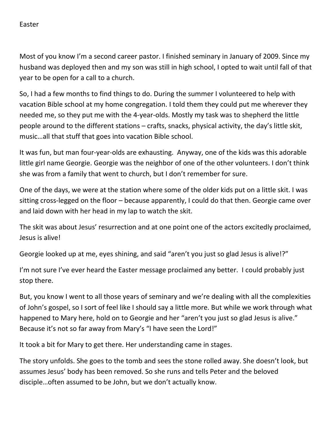Easter

Most of you know I'm a second career pastor. I finished seminary in January of 2009. Since my husband was deployed then and my son was still in high school, I opted to wait until fall of that year to be open for a call to a church.

So, I had a few months to find things to do. During the summer I volunteered to help with vacation Bible school at my home congregation. I told them they could put me wherever they needed me, so they put me with the 4-year-olds. Mostly my task was to shepherd the little people around to the different stations – crafts, snacks, physical activity, the day's little skit, music…all that stuff that goes into vacation Bible school.

It was fun, but man four-year-olds are exhausting. Anyway, one of the kids was this adorable little girl name Georgie. Georgie was the neighbor of one of the other volunteers. I don't think she was from a family that went to church, but I don't remember for sure.

One of the days, we were at the station where some of the older kids put on a little skit. I was sitting cross-legged on the floor – because apparently, I could do that then. Georgie came over and laid down with her head in my lap to watch the skit.

The skit was about Jesus' resurrection and at one point one of the actors excitedly proclaimed, Jesus is alive!

Georgie looked up at me, eyes shining, and said "aren't you just so glad Jesus is alive!?"

I'm not sure I've ever heard the Easter message proclaimed any better. I could probably just stop there.

But, you know I went to all those years of seminary and we're dealing with all the complexities of John's gospel, so I sort of feel like I should say a little more. But while we work through what happened to Mary here, hold on to Georgie and her "aren't you just so glad Jesus is alive." Because it's not so far away from Mary's "I have seen the Lord!"

It took a bit for Mary to get there. Her understanding came in stages.

The story unfolds. She goes to the tomb and sees the stone rolled away. She doesn't look, but assumes Jesus' body has been removed. So she runs and tells Peter and the beloved disciple…often assumed to be John, but we don't actually know.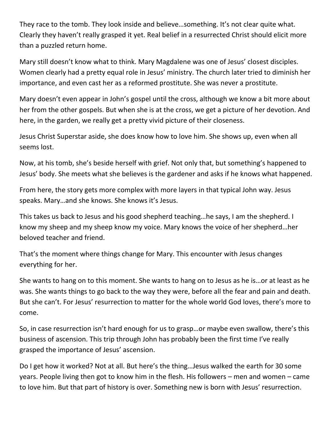They race to the tomb. They look inside and believe…something. It's not clear quite what. Clearly they haven't really grasped it yet. Real belief in a resurrected Christ should elicit more than a puzzled return home.

Mary still doesn't know what to think. Mary Magdalene was one of Jesus' closest disciples. Women clearly had a pretty equal role in Jesus' ministry. The church later tried to diminish her importance, and even cast her as a reformed prostitute. She was never a prostitute.

Mary doesn't even appear in John's gospel until the cross, although we know a bit more about her from the other gospels. But when she is at the cross, we get a picture of her devotion. And here, in the garden, we really get a pretty vivid picture of their closeness.

Jesus Christ Superstar aside, she does know how to love him. She shows up, even when all seems lost.

Now, at his tomb, she's beside herself with grief. Not only that, but something's happened to Jesus' body. She meets what she believes is the gardener and asks if he knows what happened.

From here, the story gets more complex with more layers in that typical John way. Jesus speaks. Mary…and she knows. She knows it's Jesus.

This takes us back to Jesus and his good shepherd teaching…he says, I am the shepherd. I know my sheep and my sheep know my voice. Mary knows the voice of her shepherd…her beloved teacher and friend.

That's the moment where things change for Mary. This encounter with Jesus changes everything for her.

She wants to hang on to this moment. She wants to hang on to Jesus as he is…or at least as he was. She wants things to go back to the way they were, before all the fear and pain and death. But she can't. For Jesus' resurrection to matter for the whole world God loves, there's more to come.

So, in case resurrection isn't hard enough for us to grasp…or maybe even swallow, there's this business of ascension. This trip through John has probably been the first time I've really grasped the importance of Jesus' ascension.

Do I get how it worked? Not at all. But here's the thing…Jesus walked the earth for 30 some years. People living then got to know him in the flesh. His followers – men and women – came to love him. But that part of history is over. Something new is born with Jesus' resurrection.